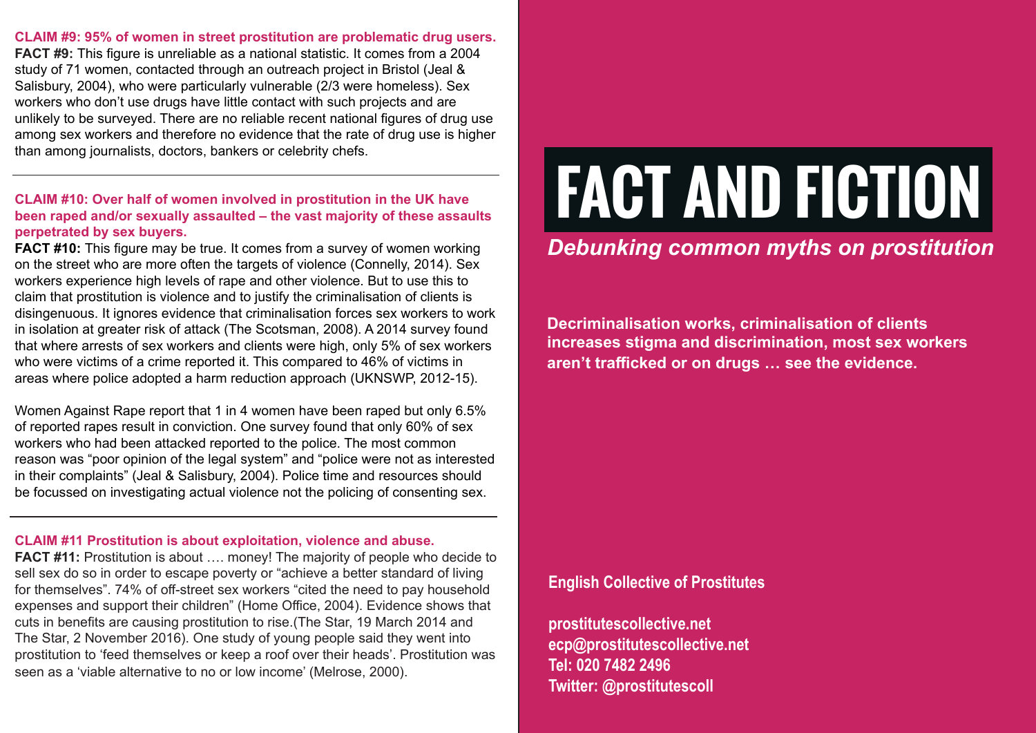**CLAIM #9: 95% of women in street prostitution are problematic drug users. FACT #9:** This figure is unreliable as a national statistic. It comes from a 2004 study of 71 women, contacted through an outreach project in Bristol (Jeal & Salisbury, 2004), who were particularly vulnerable (2/3 were homeless). Sex workers who don't use drugs have little contact with such projects and are unlikely to be surveyed. There are no reliable recent national figures of drug use among sex workers and therefore no evidence that the rate of drug use is higher than among journalists, doctors, bankers or celebrity chefs.

# **CLAIM #10: Over half of women involved in prostitution in the UK have been raped and/or sexually assaulted – the vast majority of these assaults perpetrated by sex buyers.**

**FACT #10:** This figure may be true. It comes from a survey of women working on the street who are more often the targets of violence (Connelly, 2014). Sex workers experience high levels of rape and other violence. But to use this to claim that prostitution is violence and to justify the criminalisation of clients is disingenuous. It ignores evidence that criminalisation forces sex workers to work in isolation at greater risk of attack (The Scotsman, 2008). A 2014 survey found that where arrests of sex workers and clients were high, only 5% of sex workers who were victims of a crime reported it. This compared to 46% of victims in areas where police adopted a harm reduction approach (UKNSWP, 2012-15).

Women Against Rape report that 1 in 4 women have been raped but only 6.5% of reported rapes result in conviction. One survey found that only 60% of sex workers who had been attacked reported to the police. The most common reason was "poor opinion of the legal system" and "police were not as interested in their complaints" (Jeal & Salisbury, 2004). Police time and resources should be focussed on investigating actual violence not the policing of consenting sex.

#### **CLAIM #11 Prostitution is about exploitation, violence and abuse.**

**FACT #11:** Prostitution is about .... money! The majority of people who decide to sell sex do so in order to escape poverty or "achieve a better standard of living for themselves". 74% of off-street sex workers "cited the need to pay household expenses and support their children" (Home Office, 2004). Evidence shows that cuts in benefits are causing prostitution to rise.(The Star, 19 March 2014 and The Star, 2 November 2016). One study of young people said they went into prostitution to 'feed themselves or keep a roof over their heads'. Prostitution was seen as a 'viable alternative to no or low income' (Melrose, 2000).

# **FACT AND FICTION**

# *Debunking common myths on prostitution*

**Decriminalisation works, criminalisation of clients increases stigma and discrimination, most sex workers aren't trafficked or on drugs … see the evidence.**

**English Collective of Prostitutes**

**prostitutescollective.net ecp@prostitutescollective.net Tel: 020 7482 2496 Twitter: @prostitutescoll**